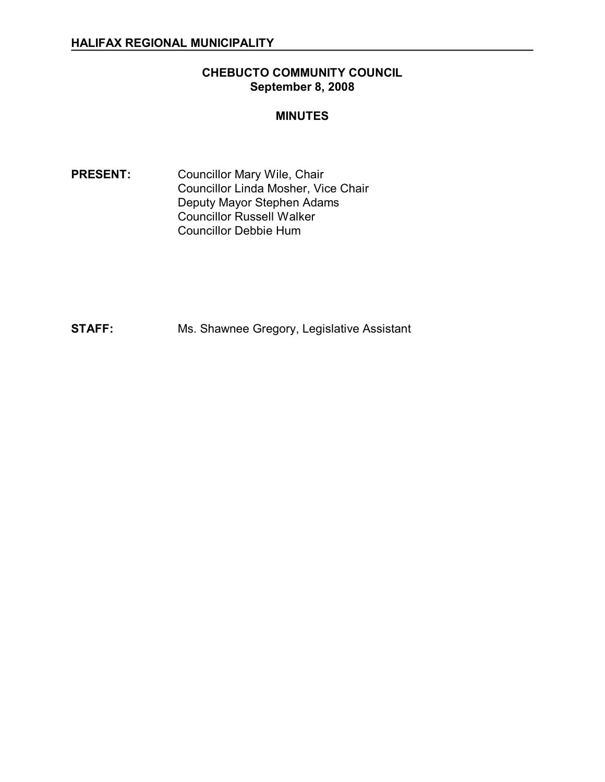## **CHEBUCTO COMMUNITY COUNCIL September 8, 2008**

#### **MINUTES**

PRESENT: Councillor Mary Wile, Chair Councillor Linda Mosher, Vice Chair Deputy Mayor Stephen Adams Councillor Russell Walker Councillor Debbie Hum

**STAFF:** Ms. Shawnee Gregory, Legislative Assistant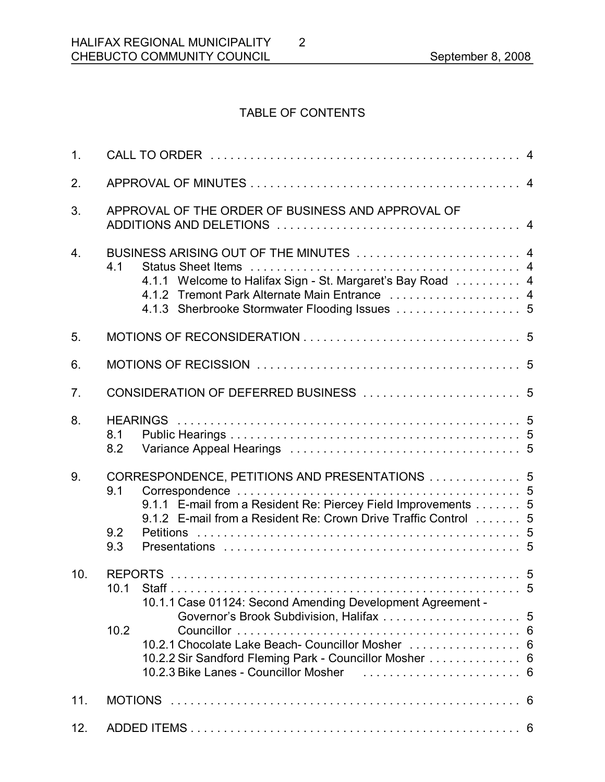# TABLE OF CONTENTS

| 1 <sub>1</sub>   |                                                                                                                                                                                                                                                              |  |  |
|------------------|--------------------------------------------------------------------------------------------------------------------------------------------------------------------------------------------------------------------------------------------------------------|--|--|
| 2.               |                                                                                                                                                                                                                                                              |  |  |
| 3.               | APPROVAL OF THE ORDER OF BUSINESS AND APPROVAL OF                                                                                                                                                                                                            |  |  |
| $\overline{4}$ . | BUSINESS ARISING OUT OF THE MINUTES  4<br>4.1<br>4.1.1 Welcome to Halifax Sign - St. Margaret's Bay Road  4<br>4.1.2 Tremont Park Alternate Main Entrance  4                                                                                                 |  |  |
| 5.               |                                                                                                                                                                                                                                                              |  |  |
| 6.               |                                                                                                                                                                                                                                                              |  |  |
| 7 <sub>1</sub>   |                                                                                                                                                                                                                                                              |  |  |
| 8.               | 8.1<br>8.2                                                                                                                                                                                                                                                   |  |  |
| 9.               | CORRESPONDENCE, PETITIONS AND PRESENTATIONS  5<br>9.1<br>9.1.1 E-mail from a Resident Re: Piercey Field Improvements 5<br>9.1.2 E-mail from a Resident Re: Crown Drive Traffic Control  5<br>9.2<br>9.3                                                      |  |  |
| 10.              | 10.1.1 Case 01124: Second Amending Development Agreement -<br>10.2<br>10.2.1 Chocolate Lake Beach-Councillor Mosher  6<br>10.2.2 Sir Sandford Fleming Park - Councillor Mosher  6<br>10.2.3 Bike Lanes - Councillor Mosher (entitled to contain the set of 6 |  |  |
| 11.              |                                                                                                                                                                                                                                                              |  |  |
| 12.              |                                                                                                                                                                                                                                                              |  |  |

2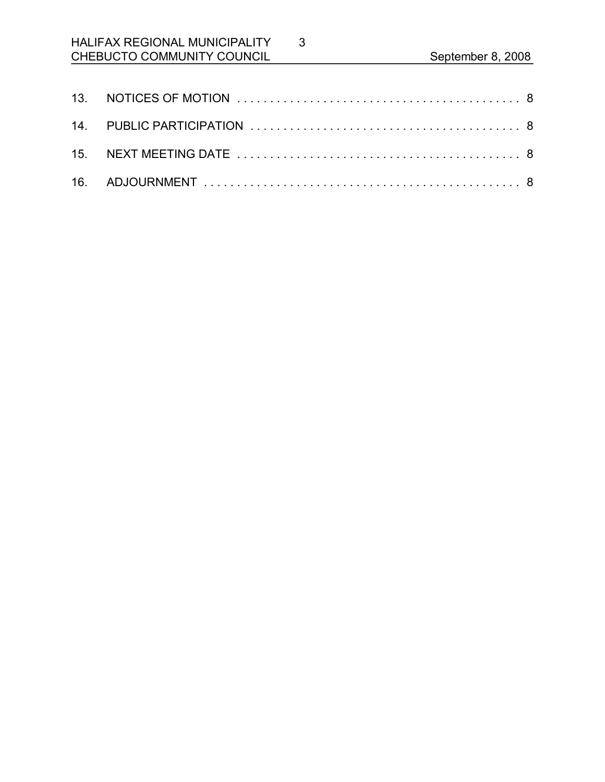# HALIFAX REGIONAL MUNICIPALITY CHEBUCTO COMMUNITY COUNCIL September 8, 2008

3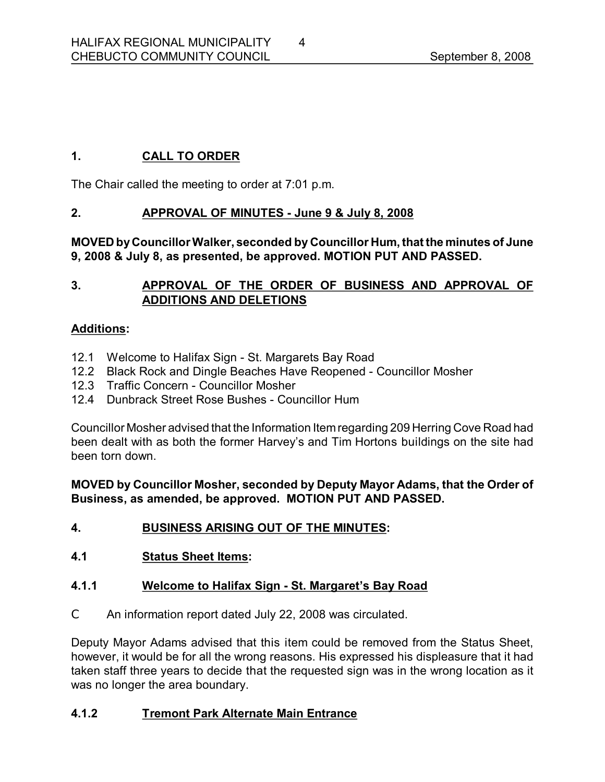# **1. CALL TO ORDER**

The Chair called the meeting to order at 7:01 p.m.

## **2. APPROVAL OF MINUTES June 9 & July 8, 2008**

**MOVED byCouncillorWalker, seconded by Councillor Hum, that the minutes of June 9, 2008 & July 8, as presented, be approved. MOTION PUT AND PASSED.** 

# **3. APPROVAL OF THE ORDER OF BUSINESS AND APPROVAL OF ADDITIONS AND DELETIONS**

## **Additions:**

- 12.1 Welcome to Halifax Sign St. Margarets Bay Road
- 12.2 Black Rock and Dingle Beaches Have Reopened Councillor Mosher
- 12.3 Traffic Concern Councillor Mosher
- 12.4 Dunbrack Street Rose Bushes Councillor Hum

Councillor Mosher advised that the Information Itemregarding 209 Herring Cove Road had been dealt with as both the former Harvey's and Tim Hortons buildings on the site had been torn down.

**MOVED by Councillor Mosher, seconded by Deputy Mayor Adams, that the Order of Business, as amended, be approved. MOTION PUT AND PASSED.** 

- **4. BUSINESS ARISING OUT OF THE MINUTES:**
- **4.1 Status Sheet Items:**

#### **4.1.1 Welcome to Halifax Sign - St. Margaret's Bay Road**

C An information report dated July 22, 2008 was circulated.

Deputy Mayor Adams advised that this item could be removed from the Status Sheet, however, it would be for all the wrong reasons. His expressed his displeasure that it had taken staff three years to decide that the requested sign was in the wrong location as it was no longer the area boundary.

#### **4.1.2 Tremont Park Alternate Main Entrance**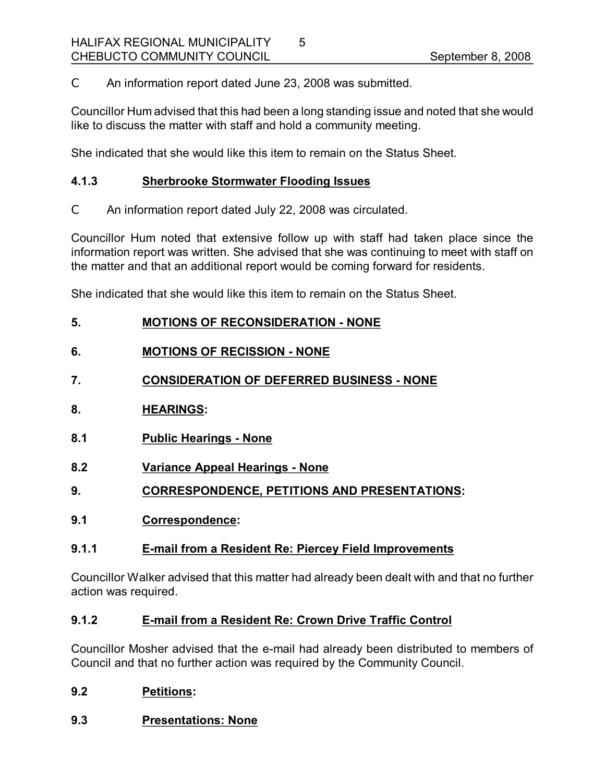C An information report dated June 23, 2008 was submitted.

Councillor Hum advised that this had been a long standing issue and noted that she would like to discuss the matter with staff and hold a community meeting.

5

She indicated that she would like this item to remain on the Status Sheet.

## **4.1.3 Sherbrooke Stormwater Flooding Issues**

C An information report dated July 22, 2008 was circulated.

Councillor Hum noted that extensive follow up with staff had taken place since the information report was written. She advised that she was continuing to meet with staff on the matter and that an additional report would be coming forward for residents.

She indicated that she would like this item to remain on the Status Sheet.

|  | 5. | <b>MOTIONS OF RECONSIDERATION - NONE</b> |  |
|--|----|------------------------------------------|--|
|--|----|------------------------------------------|--|

## **6. MOTIONS OF RECISSION NONE**

- **7. CONSIDERATION OF DEFERRED BUSINESS NONE**
- **8. HEARINGS:**
- **8.1 Public Hearings None**
- **8.2 Variance Appeal Hearings None**
- **9. CORRESPONDENCE, PETITIONS AND PRESENTATIONS:**
- **9.1 Correspondence:**

#### **9.1.1 Email from a Resident Re: Piercey Field Improvements**

Councillor Walker advised that this matter had already been dealt with and that no further action was required.

#### **9.1.2 Email from a Resident Re: Crown Drive Traffic Control**

Councillor Mosher advised that the email had already been distributed to members of Council and that no further action was required by the Community Council.

#### **9.2 Petitions:**

#### **9.3 Presentations: None**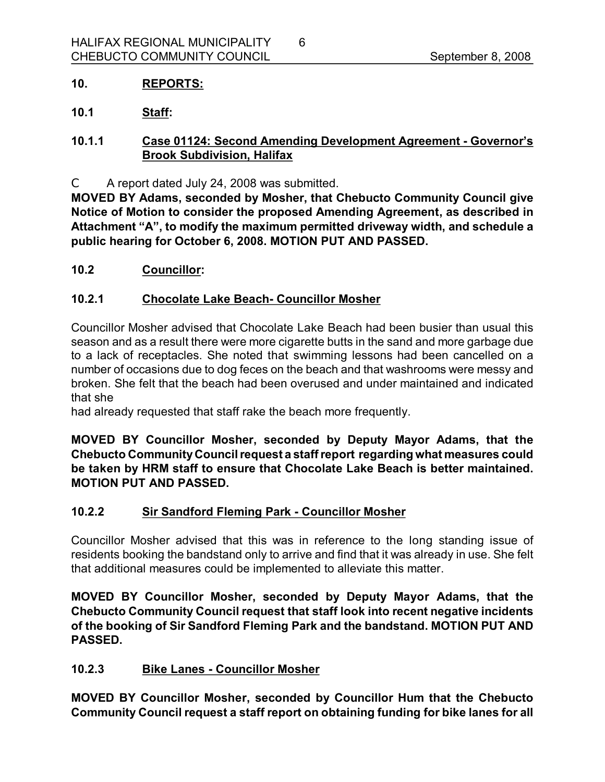## **10. REPORTS:**

**10.1 Staff:**

## **10.1.1 Case 01124: Second Amending Development Agreement Governor's Brook Subdivision, Halifax**

6

C A report dated July 24, 2008 was submitted.

**MOVED BY Adams, seconded by Mosher, that Chebucto Community Council give Notice of Motion to consider the proposed Amending Agreement, as described in Attachment "A", to modify the maximum permitted driveway width, and schedule a public hearing for October 6, 2008. MOTION PUT AND PASSED.** 

**10.2 Councillor:**

#### **10.2.1 Chocolate Lake Beach Councillor Mosher**

Councillor Mosher advised that Chocolate Lake Beach had been busier than usual this season and as a result there were more cigarette butts in the sand and more garbage due to a lack of receptacles. She noted that swimming lessons had been cancelled on a number of occasions due to dog feces on the beach and that washrooms were messy and broken. She felt that the beach had been overused and under maintained and indicated that she

had already requested that staff rake the beach more frequently.

**MOVED BY Councillor Mosher, seconded by Deputy Mayor Adams, that the Chebucto CommunityCouncil request a staffreport regarding what measures could be taken by HRM staff to ensure that Chocolate Lake Beach is better maintained. MOTION PUT AND PASSED.** 

#### **10.2.2 Sir Sandford Fleming Park Councillor Mosher**

Councillor Mosher advised that this was in reference to the long standing issue of residents booking the bandstand only to arrive and find that it was already in use. She felt that additional measures could be implemented to alleviate this matter.

**MOVED BY Councillor Mosher, seconded by Deputy Mayor Adams, that the Chebucto Community Council request that staff look into recent negative incidents of the booking of Sir Sandford Fleming Park and the bandstand. MOTION PUT AND PASSED.** 

#### **10.2.3 Bike Lanes Councillor Mosher**

**MOVED BY Councillor Mosher, seconded by Councillor Hum that the Chebucto Community Council request a staff report on obtaining funding for bike lanes for all**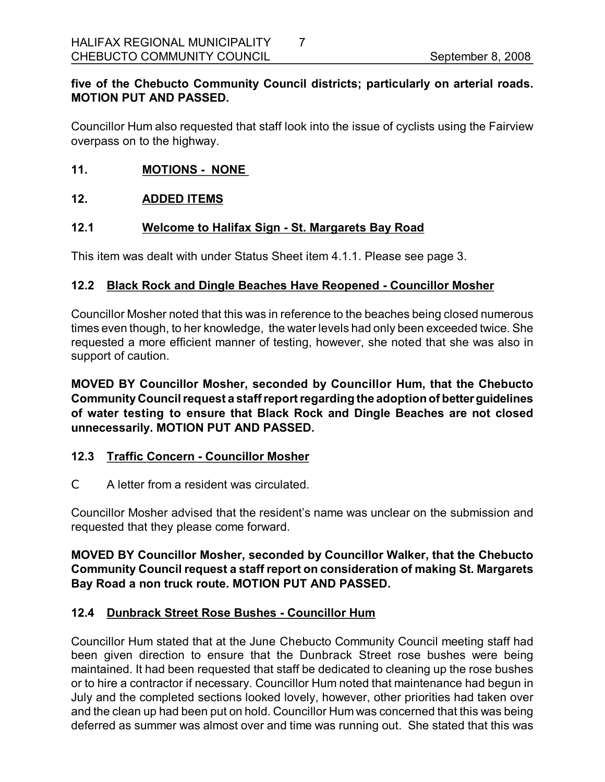# **five of the Chebucto Community Council districts; particularly on arterial roads. MOTION PUT AND PASSED.**

7

Councillor Hum also requested that staff look into the issue of cyclists using the Fairview overpass on to the highway.

### **11. MOTIONS NONE**

#### **12. ADDED ITEMS**

## 12.1 **Welcome to Halifax Sign - St. Margarets Bay Road**

This item was dealt with under Status Sheet item 4.1.1. Please see page 3.

## **12.2 Black Rock and Dingle Beaches Have Reopened Councillor Mosher**

Councillor Mosher noted that this was in reference to the beaches being closed numerous times even though, to her knowledge, the water levels had only been exceeded twice. She requested a more efficient manner of testing, however, she noted that she was also in support of caution.

**MOVED BY Councillor Mosher, seconded by Councillor Hum, that the Chebucto CommunityCouncil request a staffreportregarding the adoptionof betterguidelines of water testing to ensure that Black Rock and Dingle Beaches are not closed unnecessarily. MOTION PUT AND PASSED.** 

#### **12.3 Traffic Concern Councillor Mosher**

C A letter from a resident was circulated.

Councillor Mosher advised that the resident's name was unclear on the submission and requested that they please come forward.

## **MOVED BY Councillor Mosher, seconded by Councillor Walker, that the Chebucto Community Council request a staff report on consideration of making St. Margarets Bay Road a non truck route. MOTION PUT AND PASSED.**

#### **12.4 Dunbrack Street Rose Bushes Councillor Hum**

Councillor Hum stated that at the June Chebucto Community Council meeting staff had been given direction to ensure that the Dunbrack Street rose bushes were being maintained. It had been requested that staff be dedicated to cleaning up the rose bushes or to hire a contractor if necessary. Councillor Hum noted that maintenance had begun in July and the completed sections looked lovely, however, other priorities had taken over and the clean up had been put on hold. Councillor Hum was concerned that this was being deferred as summer was almost over and time was running out. She stated that this was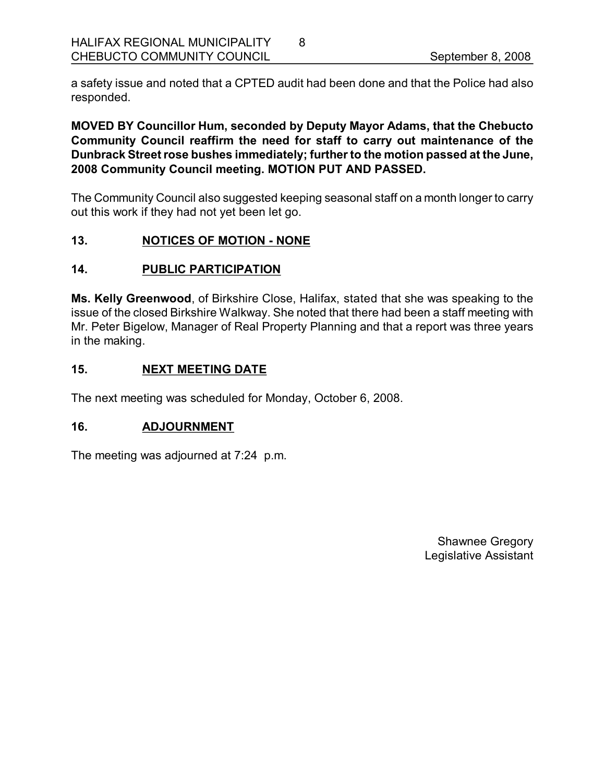a safety issue and noted that a CPTED audit had been done and that the Police had also responded.

8

**MOVED BY Councillor Hum, seconded by Deputy Mayor Adams, that the Chebucto Community Council reaffirm the need for staff to carry out maintenance of the Dunbrack Streetrose bushes immediately; further to the motion passed at the June, 2008 Community Council meeting. MOTION PUT AND PASSED.**

The Community Council also suggested keeping seasonal staff on a month longer to carry out this work if they had not yet been let go.

## **13. NOTICES OF MOTION NONE**

#### **14. PUBLIC PARTICIPATION**

**Ms. Kelly Greenwood**, of Birkshire Close, Halifax, stated that she was speaking to the issue of the closed Birkshire Walkway. She noted that there had been a staff meeting with Mr. Peter Bigelow, Manager of Real Property Planning and that a report was three years in the making.

## **15. NEXT MEETING DATE**

The next meeting was scheduled for Monday, October 6, 2008.

#### **16. ADJOURNMENT**

The meeting was adjourned at 7:24 p.m.

Shawnee Gregory Legislative Assistant